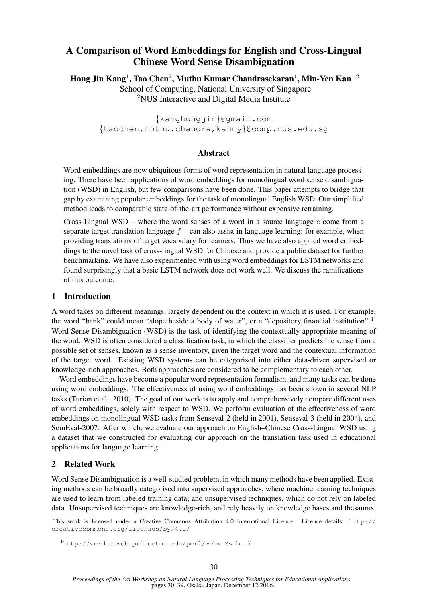# A Comparison of Word Embeddings for English and Cross-Lingual Chinese Word Sense Disambiguation

Hong Jin Kang<sup>1</sup>, Tao Chen<sup>2</sup>, Muthu Kumar Chandrasekaran<sup>1</sup>, Min-Yen Kan<sup>1,2</sup>

<sup>1</sup>School of Computing, National University of Singapore <sup>2</sup>NUS Interactive and Digital Media Institute

{kanghongjin}@gmail.com {taochen,muthu.chandra,kanmy}@comp.nus.edu.sg

## Abstract

Word embeddings are now ubiquitous forms of word representation in natural language processing. There have been applications of word embeddings for monolingual word sense disambiguation (WSD) in English, but few comparisons have been done. This paper attempts to bridge that gap by examining popular embeddings for the task of monolingual English WSD. Our simplified method leads to comparable state-of-the-art performance without expensive retraining.

Cross-Lingual WSD – where the word senses of a word in a source language  $e$  come from a separate target translation language  $f$  – can also assist in language learning; for example, when providing translations of target vocabulary for learners. Thus we have also applied word embeddings to the novel task of cross-lingual WSD for Chinese and provide a public dataset for further benchmarking. We have also experimented with using word embeddings for LSTM networks and found surprisingly that a basic LSTM network does not work well. We discuss the ramifications of this outcome.

## 1 Introduction

A word takes on different meanings, largely dependent on the context in which it is used. For example, the word "bank" could mean "slope beside a body of water", or a "depository financial institution" 1. Word Sense Disambiguation (WSD) is the task of identifying the contextually appropriate meaning of the word. WSD is often considered a classification task, in which the classifier predicts the sense from a possible set of senses, known as a sense inventory, given the target word and the contextual information of the target word. Existing WSD systems can be categorised into either data-driven supervised or knowledge-rich approaches. Both approaches are considered to be complementary to each other.

Word embeddings have become a popular word representation formalism, and many tasks can be done using word embeddings. The effectiveness of using word embeddings has been shown in several NLP tasks (Turian et al., 2010). The goal of our work is to apply and comprehensively compare different uses of word embeddings, solely with respect to WSD. We perform evaluation of the effectiveness of word embeddings on monolingual WSD tasks from Senseval-2 (held in 2001), Senseval-3 (held in 2004), and SemEval-2007. After which, we evaluate our approach on English–Chinese Cross-Lingual WSD using a dataset that we constructed for evaluating our approach on the translation task used in educational applications for language learning.

## 2 Related Work

Word Sense Disambiguation is a well-studied problem, in which many methods have been applied. Existing methods can be broadly categorised into supervised approaches, where machine learning techniques are used to learn from labeled training data; and unsupervised techniques, which do not rely on labeled data. Unsupervised techniques are knowledge-rich, and rely heavily on knowledge bases and thesaurus,

This work is licensed under a Creative Commons Attribution 4.0 International Licence. Licence details: http:// creativecommons.org/licenses/by/4.0/

<sup>1</sup>http://wordnetweb.princeton.edu/perl/webwn?s=bank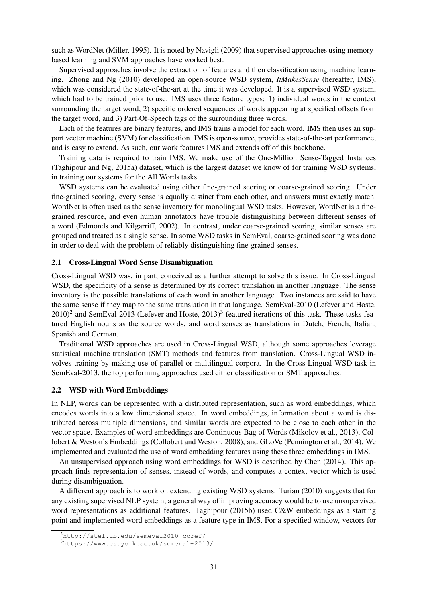such as WordNet (Miller, 1995). It is noted by Navigli (2009) that supervised approaches using memorybased learning and SVM approaches have worked best.

Supervised approaches involve the extraction of features and then classification using machine learning. Zhong and Ng (2010) developed an open-source WSD system, *ItMakesSense* (hereafter, IMS), which was considered the state-of-the-art at the time it was developed. It is a supervised WSD system, which had to be trained prior to use. IMS uses three feature types: 1) individual words in the context surrounding the target word, 2) specific ordered sequences of words appearing at specified offsets from the target word, and 3) Part-Of-Speech tags of the surrounding three words.

Each of the features are binary features, and IMS trains a model for each word. IMS then uses an support vector machine (SVM) for classification. IMS is open-source, provides state-of-the-art performance, and is easy to extend. As such, our work features IMS and extends off of this backbone.

Training data is required to train IMS. We make use of the One-Million Sense-Tagged Instances (Taghipour and Ng, 2015a) dataset, which is the largest dataset we know of for training WSD systems, in training our systems for the All Words tasks.

WSD systems can be evaluated using either fine-grained scoring or coarse-grained scoring. Under fine-grained scoring, every sense is equally distinct from each other, and answers must exactly match. WordNet is often used as the sense inventory for monolingual WSD tasks. However, WordNet is a finegrained resource, and even human annotators have trouble distinguishing between different senses of a word (Edmonds and Kilgarriff, 2002). In contrast, under coarse-grained scoring, similar senses are grouped and treated as a single sense. In some WSD tasks in SemEval, coarse-grained scoring was done in order to deal with the problem of reliably distinguishing fine-grained senses.

#### 2.1 Cross-Lingual Word Sense Disambiguation

Cross-Lingual WSD was, in part, conceived as a further attempt to solve this issue. In Cross-Lingual WSD, the specificity of a sense is determined by its correct translation in another language. The sense inventory is the possible translations of each word in another language. Two instances are said to have the same sense if they map to the same translation in that language. SemEval-2010 (Lefever and Hoste,  $2010$ <sup>2</sup> and SemEval-2013 (Lefever and Hoste, 2013)<sup>3</sup> featured iterations of this task. These tasks featured English nouns as the source words, and word senses as translations in Dutch, French, Italian, Spanish and German.

Traditional WSD approaches are used in Cross-Lingual WSD, although some approaches leverage statistical machine translation (SMT) methods and features from translation. Cross-Lingual WSD involves training by making use of parallel or multilingual corpora. In the Cross-Lingual WSD task in SemEval-2013, the top performing approaches used either classification or SMT approaches.

#### 2.2 WSD with Word Embeddings

In NLP, words can be represented with a distributed representation, such as word embeddings, which encodes words into a low dimensional space. In word embeddings, information about a word is distributed across multiple dimensions, and similar words are expected to be close to each other in the vector space. Examples of word embeddings are Continuous Bag of Words (Mikolov et al., 2013), Collobert & Weston's Embeddings (Collobert and Weston, 2008), and GLoVe (Pennington et al., 2014). We implemented and evaluated the use of word embedding features using these three embeddings in IMS.

An unsupervised approach using word embeddings for WSD is described by Chen (2014). This approach finds representation of senses, instead of words, and computes a context vector which is used during disambiguation.

A different approach is to work on extending existing WSD systems. Turian (2010) suggests that for any existing supervised NLP system, a general way of improving accuracy would be to use unsupervised word representations as additional features. Taghipour (2015b) used C&W embeddings as a starting point and implemented word embeddings as a feature type in IMS. For a specified window, vectors for

<sup>2</sup>http://stel.ub.edu/semeval2010-coref/

<sup>3</sup>https://www.cs.york.ac.uk/semeval-2013/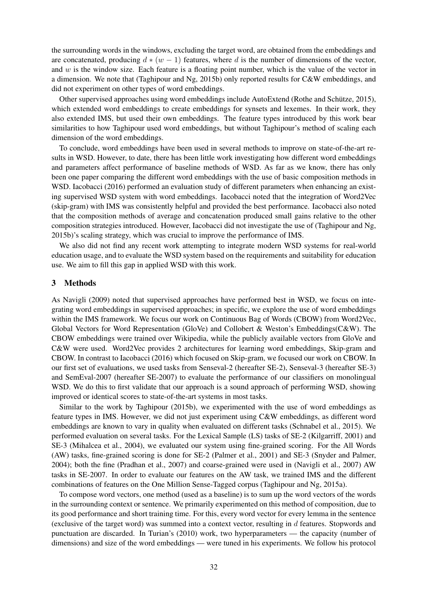the surrounding words in the windows, excluding the target word, are obtained from the embeddings and are concatenated, producing  $d * (w - 1)$  features, where d is the number of dimensions of the vector, and  $w$  is the window size. Each feature is a floating point number, which is the value of the vector in a dimension. We note that (Taghipour and Ng, 2015b) only reported results for C&W embeddings, and did not experiment on other types of word embeddings.

Other supervised approaches using word embeddings include AutoExtend (Rothe and Schütze, 2015), which extended word embeddings to create embeddings for synsets and lexemes. In their work, they also extended IMS, but used their own embeddings. The feature types introduced by this work bear similarities to how Taghipour used word embeddings, but without Taghipour's method of scaling each dimension of the word embeddings.

To conclude, word embeddings have been used in several methods to improve on state-of-the-art results in WSD. However, to date, there has been little work investigating how different word embeddings and parameters affect performance of baseline methods of WSD. As far as we know, there has only been one paper comparing the different word embeddings with the use of basic composition methods in WSD. Iacobacci (2016) performed an evaluation study of different parameters when enhancing an existing supervised WSD system with word embeddings. Iacobacci noted that the integration of Word2Vec (skip-gram) with IMS was consistently helpful and provided the best performance. Iacobacci also noted that the composition methods of average and concatenation produced small gains relative to the other composition strategies introduced. However, Iacobacci did not investigate the use of (Taghipour and Ng, 2015b)'s scaling strategy, which was crucial to improve the performance of IMS.

We also did not find any recent work attempting to integrate modern WSD systems for real-world education usage, and to evaluate the WSD system based on the requirements and suitability for education use. We aim to fill this gap in applied WSD with this work.

#### 3 Methods

As Navigli (2009) noted that supervised approaches have performed best in WSD, we focus on integrating word embeddings in supervised approaches; in specific, we explore the use of word embeddings within the IMS framework. We focus our work on Continuous Bag of Words (CBOW) from Word2Vec, Global Vectors for Word Representation (GloVe) and Collobert & Weston's Embeddings(C&W). The CBOW embeddings were trained over Wikipedia, while the publicly available vectors from GloVe and C&W were used. Word2Vec provides 2 architectures for learning word embeddings, Skip-gram and CBOW. In contrast to Iacobacci (2016) which focused on Skip-gram, we focused our work on CBOW. In our first set of evaluations, we used tasks from Senseval-2 (hereafter SE-2), Senseval-3 (hereafter SE-3) and SemEval-2007 (hereafter SE-2007) to evaluate the performance of our classifiers on monolingual WSD. We do this to first validate that our approach is a sound approach of performing WSD, showing improved or identical scores to state-of-the-art systems in most tasks.

Similar to the work by Taghipour (2015b), we experimented with the use of word embeddings as feature types in IMS. However, we did not just experiment using C&W embeddings, as different word embeddings are known to vary in quality when evaluated on different tasks (Schnabel et al., 2015). We performed evaluation on several tasks. For the Lexical Sample (LS) tasks of SE-2 (Kilgarriff, 2001) and SE-3 (Mihalcea et al., 2004), we evaluated our system using fine-grained scoring. For the All Words (AW) tasks, fine-grained scoring is done for SE-2 (Palmer et al., 2001) and SE-3 (Snyder and Palmer, 2004); both the fine (Pradhan et al., 2007) and coarse-grained were used in (Navigli et al., 2007) AW tasks in SE-2007. In order to evaluate our features on the AW task, we trained IMS and the different combinations of features on the One Million Sense-Tagged corpus (Taghipour and Ng, 2015a).

To compose word vectors, one method (used as a baseline) is to sum up the word vectors of the words in the surrounding context or sentence. We primarily experimented on this method of composition, due to its good performance and short training time. For this, every word vector for every lemma in the sentence (exclusive of the target word) was summed into a context vector, resulting in d features. Stopwords and punctuation are discarded. In Turian's (2010) work, two hyperparameters — the capacity (number of dimensions) and size of the word embeddings — were tuned in his experiments. We follow his protocol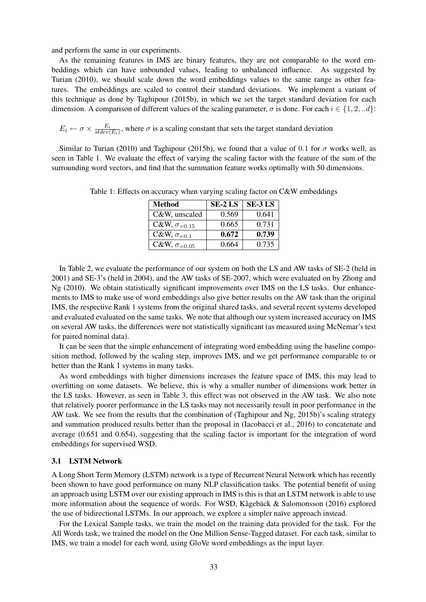and perform the same in our experiments.

As the remaining features in IMS are binary features, they are not comparable to the word embeddings which can have unbounded values, leading to unbalanced influence. As suggested by Turian (2010), we should scale down the word embeddings values to the same range as other features. The embeddings are scaled to control their standard deviations. We implement a variant of this technique as done by Taghipour (2015b), in which we set the target standard deviation for each dimension. A comparison of different values of the scaling parameter,  $\sigma$  is done. For each  $i \in \{1, 2, ...d\}$ :

 $E_i \leftarrow \sigma \times \frac{E_i}{stdev}$  $\frac{E_i}{statev(E_i)}$ , where  $\sigma$  is a scaling constant that sets the target standard deviation

Similar to Turian (2010) and Taghipour (2015b), we found that a value of 0.1 for  $\sigma$  works well, as seen in Table 1. We evaluate the effect of varying the scaling factor with the feature of the sum of the surrounding word vectors, and find that the summation feature works optimally with 50 dimensions.

| <b>Method</b>                  | <b>SE-2 LS</b> | <b>SE-3 LS</b> |
|--------------------------------|----------------|----------------|
| C&W, unscaled                  | 0.569          | 0.641          |
| C&W, $\sigma_{=0.15}$          | 0.665          | 0.731          |
| C&W, $\sigma_{=0.1}$           | 0.672          | 0.739          |
| C&W, $\sigma$ <sub>=0.05</sub> | 0.664          | 0.735          |

Table 1: Effects on accuracy when varying scaling factor on C&W embeddings

In Table 2, we evaluate the performance of our system on both the LS and AW tasks of SE-2 (held in 2001) and SE-3's (held in 2004), and the AW tasks of SE-2007, which were evaluated on by Zhong and Ng (2010). We obtain statistically significant improvements over IMS on the LS tasks. Our enhancements to IMS to make use of word embeddings also give better results on the AW task than the original IMS, the respective Rank 1 systems from the original shared tasks, and several recent systems developed and evaluated evaluated on the same tasks. We note that although our system increased accuracy on IMS on several AW tasks, the differences were not statistically significant (as measured using McNemar's test for paired nominal data).

It can be seen that the simple enhancement of integrating word embedding using the baseline composition method, followed by the scaling step, improves IMS, and we get performance comparable to or better than the Rank 1 systems in many tasks.

As word embeddings with higher dimensions increases the feature space of IMS, this may lead to overfitting on some datasets. We believe, this is why a smaller number of dimensions work better in the LS tasks. However, as seen in Table 3, this effect was not observed in the AW task. We also note that relatively poorer performance in the LS tasks may not necessarily result in poor performance in the AW task. We see from the results that the combination of (Taghipour and Ng, 2015b)'s scaling strategy and summation produced results better than the proposal in (Iacobacci et al., 2016) to concatenate and average (0.651 and 0.654), suggesting that the scaling factor is important for the integration of word embeddings for supervised WSD.

#### 3.1 LSTM Network

A Long Short Term Memory (LSTM) network is a type of Recurrent Neural Network which has recently been shown to have good performance on many NLP classification tasks. The potential benefit of using an approach using LSTM over our existing approach in IMS is this is that an LSTM network is able to use more information about the sequence of words. For WSD, Kågebäck & Salomonsson (2016) explored the use of bidirectional LSTMs. In our approach, we explore a simpler naïve approach instead.

For the Lexical Sample tasks, we train the model on the training data provided for the task. For the All Words task, we trained the model on the One Million Sense-Tagged dataset. For each task, similar to IMS, we train a model for each word, using GloVe word embeddings as the input layer.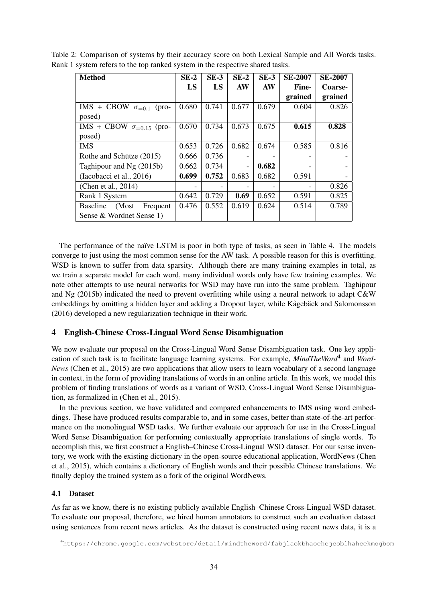| <b>Method</b>                         | $SE-2$ | $SE-3$ | $SE-2$                   | $SE-3$ | <b>SE-2007</b> | <b>SE-2007</b> |
|---------------------------------------|--------|--------|--------------------------|--------|----------------|----------------|
|                                       | LS     | LS     | AW                       | AW     | Fine-          | Coarse-        |
|                                       |        |        |                          |        | grained        | grained        |
| $IMS +$<br>CBOW $\sigma_{=0.1}$ (pro- | 0.680  | 0.741  | 0.677                    | 0.679  | 0.604          | 0.826          |
| posed)                                |        |        |                          |        |                |                |
| IMS + CBOW $\sigma_{=0.15}$ (pro-     | 0.670  | 0.734  | 0.673                    | 0.675  | 0.615          | 0.828          |
| posed)                                |        |        |                          |        |                |                |
| <b>IMS</b>                            | 0.653  | 0.726  | 0.682                    | 0.674  | 0.585          | 0.816          |
| Rothe and Schütze (2015)              | 0.666  | 0.736  |                          |        |                |                |
| Taghipour and $Ng(2015b)$             | 0.662  | 0.734  | $\overline{\phantom{a}}$ | 0.682  |                |                |
| (Iacobacci et al., 2016)              | 0.699  | 0.752  | 0.683                    | 0.682  | 0.591          |                |
| (Chen et al., 2014)                   |        |        |                          |        |                | 0.826          |
| Rank 1 System                         | 0.642  | 0.729  | 0.69                     | 0.652  | 0.591          | 0.825          |
| <b>Baseline</b><br>(Most<br>Frequent  | 0.476  | 0.552  | 0.619                    | 0.624  | 0.514          | 0.789          |
| Sense & Wordnet Sense 1)              |        |        |                          |        |                |                |

Table 2: Comparison of systems by their accuracy score on both Lexical Sample and All Words tasks. Rank 1 system refers to the top ranked system in the respective shared tasks.

The performance of the naïve LSTM is poor in both type of tasks, as seen in Table 4. The models converge to just using the most common sense for the AW task. A possible reason for this is overfitting. WSD is known to suffer from data sparsity. Although there are many training examples in total, as we train a separate model for each word, many individual words only have few training examples. We note other attempts to use neural networks for WSD may have run into the same problem. Taghipour and Ng (2015b) indicated the need to prevent overfitting while using a neural network to adapt C&W embeddings by omitting a hidden layer and adding a Dropout layer, while Kågebäck and Salomonsson (2016) developed a new regularization technique in their work.

## 4 English-Chinese Cross-Lingual Word Sense Disambiguation

We now evaluate our proposal on the Cross-Lingual Word Sense Disambiguation task. One key application of such task is to facilitate language learning systems. For example, *MindTheWord*<sup>4</sup> and *Word-News* (Chen et al., 2015) are two applications that allow users to learn vocabulary of a second language in context, in the form of providing translations of words in an online article. In this work, we model this problem of finding translations of words as a variant of WSD, Cross-Lingual Word Sense Disambiguation, as formalized in (Chen et al., 2015).

In the previous section, we have validated and compared enhancements to IMS using word embeddings. These have produced results comparable to, and in some cases, better than state-of-the-art performance on the monolingual WSD tasks. We further evaluate our approach for use in the Cross-Lingual Word Sense Disambiguation for performing contextually appropriate translations of single words. To accomplish this, we first construct a English–Chinese Cross-Lingual WSD dataset. For our sense inventory, we work with the existing dictionary in the open-source educational application, WordNews (Chen et al., 2015), which contains a dictionary of English words and their possible Chinese translations. We finally deploy the trained system as a fork of the original WordNews.

## 4.1 Dataset

As far as we know, there is no existing publicly available English–Chinese Cross-Lingual WSD dataset. To evaluate our proposal, therefore, we hired human annotators to construct such an evaluation dataset using sentences from recent news articles. As the dataset is constructed using recent news data, it is a

<sup>4</sup>https://chrome.google.com/webstore/detail/mindtheword/fabjlaokbhaoehejcoblhahcekmogbom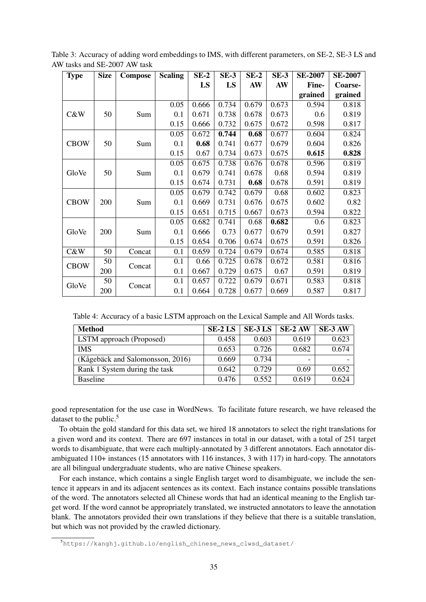| <b>Type</b> | <b>Size</b> | <b>Compose</b> | <b>Scaling</b> | $SE-2$ | $SE-3$ | $SE-2$ | $SE-3$ | <b>SE-2007</b> | <b>SE-2007</b> |
|-------------|-------------|----------------|----------------|--------|--------|--------|--------|----------------|----------------|
|             |             |                |                | LS     | LS     | AW     | AW     | Fine-          | Coarse-        |
|             |             |                |                |        |        |        |        | grained        | grained        |
|             |             |                | 0.05           | 0.666  | 0.734  | 0.679  | 0.673  | 0.594          | 0.818          |
| C&W         | 50          | Sum            | 0.1            | 0.671  | 0.738  | 0.678  | 0.673  | 0.6            | 0.819          |
|             |             |                | 0.15           | 0.666  | 0.732  | 0.675  | 0.672  | 0.598          | 0.817          |
|             |             |                | 0.05           | 0.672  | 0.744  | 0.68   | 0.677  | 0.604          | 0.824          |
| <b>CBOW</b> | 50          | Sum            | 0.1            | 0.68   | 0.741  | 0.677  | 0.679  | 0.604          | 0.826          |
|             |             |                | 0.15           | 0.67   | 0.734  | 0.673  | 0.675  | 0.615          | 0.828          |
|             |             |                | 0.05           | 0.675  | 0.738  | 0.676  | 0.678  | 0.596          | 0.819          |
| GloVe       | 50          | Sum            | 0.1            | 0.679  | 0.741  | 0.678  | 0.68   | 0.594          | 0.819          |
|             |             |                | 0.15           | 0.674  | 0.731  | 0.68   | 0.678  | 0.591          | 0.819          |
|             |             |                | 0.05           | 0.679  | 0.742  | 0.679  | 0.68   | 0.602          | 0.823          |
| <b>CBOW</b> | 200         | Sum            | 0.1            | 0.669  | 0.731  | 0.676  | 0.675  | 0.602          | 0.82           |
|             |             |                | 0.15           | 0.651  | 0.715  | 0.667  | 0.673  | 0.594          | 0.822          |
|             |             |                | 0.05           | 0.682  | 0.741  | 0.68   | 0.682  | 0.6            | 0.823          |
| GloVe       | 200         | Sum            | 0.1            | 0.666  | 0.73   | 0.677  | 0.679  | 0.591          | 0.827          |
|             |             |                | 0.15           | 0.654  | 0.706  | 0.674  | 0.675  | 0.591          | 0.826          |
| C&W         | 50          | Concat         | 0.1            | 0.659  | 0.724  | 0.679  | 0.674  | 0.585          | 0.818          |
| <b>CBOW</b> | 50          | Concat         | 0.1            | 0.66   | 0.725  | 0.678  | 0.672  | 0.581          | 0.816          |
|             | 200         |                | 0.1            | 0.667  | 0.729  | 0.675  | 0.67   | 0.591          | 0.819          |
| GloVe       | 50          |                | 0.1            | 0.657  | 0.722  | 0.679  | 0.671  | 0.583          | 0.818          |
|             | 200         | Concat         | 0.1            | 0.664  | 0.728  | 0.677  | 0.669  | 0.587          | 0.817          |

Table 3: Accuracy of adding word embeddings to IMS, with different parameters, on SE-2, SE-3 LS and AW tasks and SE-2007 AW task

Table 4: Accuracy of a basic LSTM approach on the Lexical Sample and All Words tasks.

| Method                           | SE-2 LS | SE-3 LS | SE-2 AW                  | SE-3 AW |
|----------------------------------|---------|---------|--------------------------|---------|
| LSTM approach (Proposed)         | 0.458   | 0.603   | 0.619                    | 0.623   |
| IMS                              | 0.653   | 0.726   | 0.682                    | 0.674   |
| (Kågebäck and Salomonsson, 2016) | 0.669   | 0.734   | $\overline{\phantom{0}}$ |         |
| Rank 1 System during the task    | 0.642   | 0.729   | 0.69                     | 0.652   |
| <b>Baseline</b>                  | 0.476   | 0.552   | 0.619                    | 0.624   |

good representation for the use case in WordNews. To facilitate future research, we have released the dataset to the public.<sup>5</sup>

To obtain the gold standard for this data set, we hired 18 annotators to select the right translations for a given word and its context. There are 697 instances in total in our dataset, with a total of 251 target words to disambiguate, that were each multiply-annotated by 3 different annotators. Each annotator disambiguated 110+ instances (15 annotators with 116 instances, 3 with 117) in hard-copy. The annotators are all bilingual undergraduate students, who are native Chinese speakers.

For each instance, which contains a single English target word to disambiguate, we include the sentence it appears in and its adjacent sentences as its context. Each instance contains possible translations of the word. The annotators selected all Chinese words that had an identical meaning to the English target word. If the word cannot be appropriately translated, we instructed annotators to leave the annotation blank. The annotators provided their own translations if they believe that there is a suitable translation, but which was not provided by the crawled dictionary.

<sup>5</sup>https://kanghj.github.io/english\_chinese\_news\_clwsd\_dataset/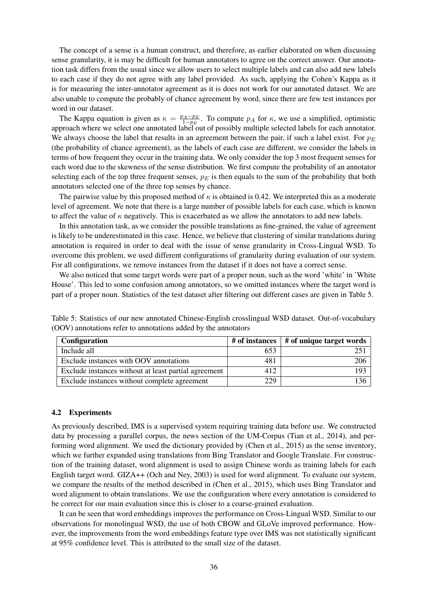The concept of a sense is a human construct, and therefore, as earlier elaborated on when discussing sense granularity, it is may be difficult for human annotators to agree on the correct answer. Our annotation task differs from the usual since we allow users to select multiple labels and can also add new labels to each case if they do not agree with any label provided. As such, applying the Cohen's Kappa as it is for measuring the inter-annotator agreement as it is does not work for our annotated dataset. We are also unable to compute the probably of chance agreement by word, since there are few test instances per word in our dataset.

The Kappa equation is given as  $\kappa = \frac{p_A - p_E}{1 - p_E}$  $\frac{1-A-p_E}{1-p_E}$ . To compute  $p_A$  for  $\kappa$ , we use a simplified, optimistic approach where we select one annotated label out of possibly multiple selected labels for each annotator. We always choose the label that results in an agreement between the pair, if such a label exist. For  $p_E$ (the probability of chance agreement), as the labels of each case are different, we consider the labels in terms of how frequent they occur in the training data. We only consider the top 3 most frequent senses for each word due to the skewness of the sense distribution. We first compute the probability of an annotator selecting each of the top three frequent senses,  $p_E$  is then equals to the sum of the probability that both annotators selected one of the three top senses by chance.

The pairwise value by this proposed method of  $\kappa$  is obtained is 0.42. We interpreted this as a moderate level of agreement. We note that there is a large number of possible labels for each case, which is known to affect the value of  $\kappa$  negatively. This is exacerbated as we allow the annotators to add new labels.

In this annotation task, as we consider the possible translations as fine-grained, the value of agreement is likely to be underestimated in this case. Hence, we believe that clustering of similar translations during annotation is required in order to deal with the issue of sense granularity in Cross-Lingual WSD. To overcome this problem, we used different configurations of granularity during evaluation of our system. For all configurations, we remove instances from the dataset if it does not have a correct sense.

We also noticed that some target words were part of a proper noun, such as the word 'white' in 'White House'. This led to some confusion among annotators, so we omitted instances where the target word is part of a proper noun. Statistics of the test dataset after filtering out different cases are given in Table 5.

| <b>Configuration</b>                                 | $\#$ of instances $\ $ | # of unique target words |
|------------------------------------------------------|------------------------|--------------------------|
| Include all                                          | 653                    |                          |
| Exclude instances with OOV annotations               | 481                    | 206                      |
| Exclude instances without at least partial agreement | 412                    | 192                      |
| Exclude instances without complete agreement         | 229                    | 136                      |

Table 5: Statistics of our new annotated Chinese-English crosslingual WSD dataset. Out-of-vocabulary (OOV) annotations refer to annotations added by the annotators

#### 4.2 Experiments

As previously described, IMS is a supervised system requiring training data before use. We constructed data by processing a parallel corpus, the news section of the UM-Corpus (Tian et al., 2014), and performing word alignment. We used the dictionary provided by (Chen et al., 2015) as the sense inventory, which we further expanded using translations from Bing Translator and Google Translate. For construction of the training dataset, word alignment is used to assign Chinese words as training labels for each English target word. GIZA++ (Och and Ney, 2003) is used for word alignment. To evaluate our system, we compare the results of the method described in (Chen et al., 2015), which uses Bing Translator and word alignment to obtain translations. We use the configuration where every annotation is considered to be correct for our main evaluation since this is closer to a coarse-grained evaluation.

It can be seen that word embeddings improves the performance on Cross-Lingual WSD. Similar to our observations for monolingual WSD, the use of both CBOW and GLoVe improved performance. However, the improvements from the word embeddings feature type over IMS was not statistically significant at 95% confidence level. This is attributed to the small size of the dataset.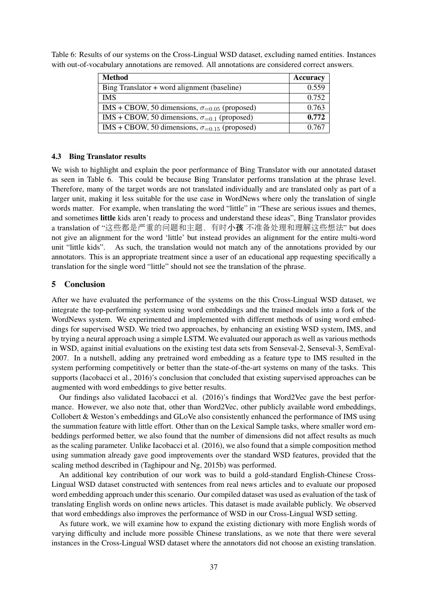| <b>Method</b>                                          | Accuracy |
|--------------------------------------------------------|----------|
| Bing Translator $+$ word alignment (baseline)          | 0.559    |
| <b>IMS</b>                                             | 0.752    |
| IMS + CBOW, 50 dimensions, $\sigma_{=0.05}$ (proposed) | 0.763    |
| IMS + CBOW, 50 dimensions, $\sigma_{=0.1}$ (proposed)  | 0.772    |
| IMS + CBOW, 50 dimensions, $\sigma_{=0.15}$ (proposed) | 0.767    |

Table 6: Results of our systems on the Cross-Lingual WSD dataset, excluding named entities. Instances with out-of-vocabulary annotations are removed. All annotations are considered correct answers.

### 4.3 Bing Translator results

We wish to highlight and explain the poor performance of Bing Translator with our annotated dataset as seen in Table 6. This could be because Bing Translator performs translation at the phrase level. Therefore, many of the target words are not translated individually and are translated only as part of a larger unit, making it less suitable for the use case in WordNews where only the translation of single words matter. For example, when translating the word "little" in "These are serious issues and themes, and sometimes little kids aren't ready to process and understand these ideas", Bing Translator provides a translation of "这些都是严重的问题和主题, 有时小孩 不准备处理和理解这些想法" but does not give an alignment for the word 'little' but instead provides an alignment for the entire multi-word unit "little kids". As such, the translation would not match any of the annotations provided by our annotators. This is an appropriate treatment since a user of an educational app requesting specifically a translation for the single word "little" should not see the translation of the phrase.

## 5 Conclusion

After we have evaluated the performance of the systems on the this Cross-Lingual WSD dataset, we integrate the top-performing system using word embeddings and the trained models into a fork of the WordNews system. We experimented and implemented with different methods of using word embeddings for supervised WSD. We tried two approaches, by enhancing an existing WSD system, IMS, and by trying a neural approach using a simple LSTM. We evaluated our apporach as well as various methods in WSD, against initial evaluations on the existing test data sets from Senseval-2, Senseval-3, SemEval-2007. In a nutshell, adding any pretrained word embedding as a feature type to IMS resulted in the system performing competitively or better than the state-of-the-art systems on many of the tasks. This supports (Iacobacci et al., 2016)'s conclusion that concluded that existing supervised approaches can be augmented with word embeddings to give better results.

Our findings also validated Iacobacci et al. (2016)'s findings that Word2Vec gave the best performance. However, we also note that, other than Word2Vec, other publicly available word embeddings, Collobert & Weston's embeddings and GLoVe also consistently enhanced the performance of IMS using the summation feature with little effort. Other than on the Lexical Sample tasks, where smaller word embeddings performed better, we also found that the number of dimensions did not affect results as much as the scaling parameter. Unlike Iacobacci et al. (2016), we also found that a simple composition method using summation already gave good improvements over the standard WSD features, provided that the scaling method described in (Taghipour and Ng, 2015b) was performed.

An additional key contribution of our work was to build a gold-standard English-Chinese Cross-Lingual WSD dataset constructed with sentences from real news articles and to evaluate our proposed word embedding approach under this scenario. Our compiled dataset was used as evaluation of the task of translating English words on online news articles. This dataset is made available publicly. We observed that word embeddings also improves the performance of WSD in our Cross-Lingual WSD setting.

As future work, we will examine how to expand the existing dictionary with more English words of varying difficulty and include more possible Chinese translations, as we note that there were several instances in the Cross-Lingual WSD dataset where the annotators did not choose an existing translation.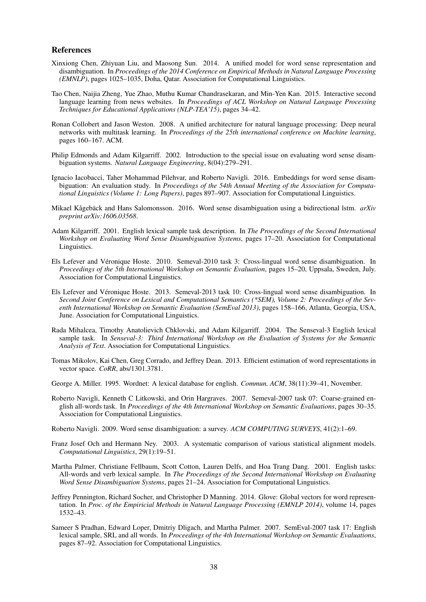#### References

- Xinxiong Chen, Zhiyuan Liu, and Maosong Sun. 2014. A unified model for word sense representation and disambiguation. In *Proceedings of the 2014 Conference on Empirical Methods in Natural Language Processing (EMNLP)*, pages 1025–1035, Doha, Qatar. Association for Computational Linguistics.
- Tao Chen, Naijia Zheng, Yue Zhao, Muthu Kumar Chandrasekaran, and Min-Yen Kan. 2015. Interactive second language learning from news websites. In *Proceedings of ACL Workshop on Natural Language Processing Techniques for Educational Applications (NLP-TEA'15)*, pages 34–42.
- Ronan Collobert and Jason Weston. 2008. A unified architecture for natural language processing: Deep neural networks with multitask learning. In *Proceedings of the 25th international conference on Machine learning*, pages 160–167. ACM.
- Philip Edmonds and Adam Kilgarriff. 2002. Introduction to the special issue on evaluating word sense disambiguation systems. *Natural Language Engineering*, 8(04):279–291.
- Ignacio Iacobacci, Taher Mohammad Pilehvar, and Roberto Navigli. 2016. Embeddings for word sense disambiguation: An evaluation study. In *Proceedings of the 54th Annual Meeting of the Association for Computational Linguistics (Volume 1: Long Papers)*, pages 897–907. Association for Computational Linguistics.
- Mikael Kågebäck and Hans Salomonsson. 2016. Word sense disambiguation using a bidirectional lstm. *arXiv preprint arXiv:1606.03568*.
- Adam Kilgarriff. 2001. English lexical sample task description. In *The Proceedings of the Second International Workshop on Evaluating Word Sense Disambiguation Systems*, pages 17–20. Association for Computational Linguistics.
- Els Lefever and Véronique Hoste. 2010. Semeval-2010 task 3: Cross-lingual word sense disambiguation. In *Proceedings of the 5th International Workshop on Semantic Evaluation*, pages 15–20, Uppsala, Sweden, July. Association for Computational Linguistics.
- Els Lefever and Veronique Hoste. 2013. Semeval-2013 task 10: Cross-lingual word sense disambiguation. In ´ *Second Joint Conference on Lexical and Computational Semantics (\*SEM), Volume 2: Proceedings of the Seventh International Workshop on Semantic Evaluation (SemEval 2013)*, pages 158–166, Atlanta, Georgia, USA, June. Association for Computational Linguistics.
- Rada Mihalcea, Timothy Anatolievich Chklovski, and Adam Kilgarriff. 2004. The Senseval-3 English lexical sample task. In *Senseval-3: Third International Workshop on the Evaluation of Systems for the Semantic Analysis of Text*. Association for Computational Linguistics.
- Tomas Mikolov, Kai Chen, Greg Corrado, and Jeffrey Dean. 2013. Efficient estimation of word representations in vector space. *CoRR*, abs/1301.3781.
- George A. Miller. 1995. Wordnet: A lexical database for english. *Commun. ACM*, 38(11):39–41, November.
- Roberto Navigli, Kenneth C Litkowski, and Orin Hargraves. 2007. Semeval-2007 task 07: Coarse-grained english all-words task. In *Proceedings of the 4th International Workshop on Semantic Evaluations*, pages 30–35. Association for Computational Linguistics.

Roberto Navigli. 2009. Word sense disambiguation: a survey. *ACM COMPUTING SURVEYS*, 41(2):1–69.

- Franz Josef Och and Hermann Ney. 2003. A systematic comparison of various statistical alignment models. *Computational Linguistics*, 29(1):19–51.
- Martha Palmer, Christiane Fellbaum, Scott Cotton, Lauren Delfs, and Hoa Trang Dang. 2001. English tasks: All-words and verb lexical sample. In *The Proceedings of the Second International Workshop on Evaluating Word Sense Disambiguation Systems*, pages 21–24. Association for Computational Linguistics.
- Jeffrey Pennington, Richard Socher, and Christopher D Manning. 2014. Glove: Global vectors for word representation. In *Proc. of the Empiricial Methods in Natural Language Processing (EMNLP 2014)*, volume 14, pages 1532–43.
- Sameer S Pradhan, Edward Loper, Dmitriy Dligach, and Martha Palmer. 2007. SemEval-2007 task 17: English lexical sample, SRL and all words. In *Proceedings of the 4th International Workshop on Semantic Evaluations*, pages 87–92. Association for Computational Linguistics.